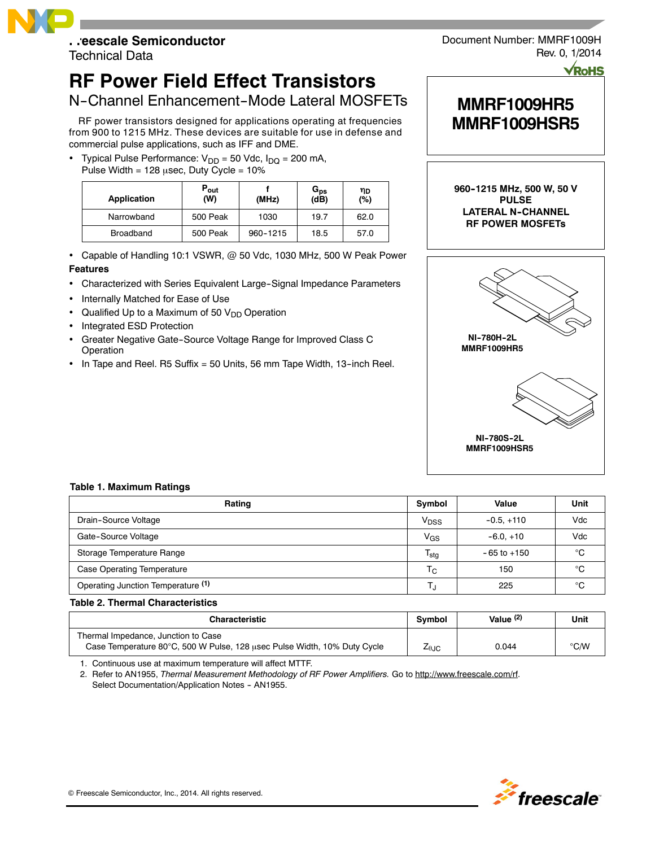# **Freescale Semiconductor**

Technical Data

# **RF Power Field Effect Transistors**

# N-Channel Enhancement-Mode Lateral MOSFETs

RF power transistors designed for applications operating at frequencies from 900 to 1215 MHz. These devices are suitable for use in defense and commercial pulse applications, such as IFF and DME.

Typical Pulse Performance:  $V_{DD} = 50$  Vdc,  $I_{DQ} = 200$  mA, Pulse Width =  $128 \mu$ sec, Duty Cycle =  $10\%$ 

| Application      | $P_{\text{out}}$<br>(W) | (MHz)    | G <sub>ps</sub><br>(dB) | ηD<br>(%) |
|------------------|-------------------------|----------|-------------------------|-----------|
| Narrowband       | 500 Peak                | 1030     | 19.7                    | 62.0      |
| <b>Broadband</b> | 500 Peak                | 960-1215 | 18.5                    | 57.0      |

Capable of Handling 10:1 VSWR, @ 50 Vdc, 1030 MHz, 500 W Peak Power

#### **Features**

- Characterized with Series Equivalent Large-Signal Impedance Parameters
- Internally Matched for Ease of Use
- Qualified Up to a Maximum of 50  $V_{DD}$  Operation
- Integrated ESD Protection
- Greater Negative Gate--Source Voltage Range for Improved Class C Operation
- In Tape and Reel. R5 Suffix = 50 Units, 56 mm Tape Width, 13--inch Reel.



# **MMRF1009HR5 MMRF1009HSR5**

**960--1215 MHz, 500 W, 50 V PULSE LATERAL N--CHANNEL RF POWER MOSFETs**



#### **Table 1. Maximum Ratings**

| Rating                             | Symbol           | Value           | Unit |
|------------------------------------|------------------|-----------------|------|
| Drain-Source Voltage               | V <sub>DSS</sub> | $-0.5. +110$    | Vdc  |
| Gate-Source Voltage                | $V_{GS}$         | $-6.0.+10$      | Vdc  |
| Storage Temperature Range          | $T_{\text{stg}}$ | $-65$ to $+150$ | °C   |
| <b>Case Operating Temperature</b>  | $T_{\rm C}$      | 150             | °C   |
| Operating Junction Temperature (1) | Т.               | 225             | °C   |

### **Table 2. Thermal Characteristics**

| <b>Characteristic</b>                                                    |  | Value $(2)$ | Unit          |
|--------------------------------------------------------------------------|--|-------------|---------------|
| Thermal Impedance, Junction to Case                                      |  |             |               |
| Case Temperature 80°C, 500 W Pulse, 128 usec Pulse Width, 10% Duty Cycle |  | 0.044       | $\degree$ C/W |

1. Continuous use at maximum temperature will affect MTTF.

2. Refer to AN1955, *Thermal Measurement Methodology of RF Power Amplifiers.* Go to http://www.freescale.com/rf. Select Documentation/Application Notes - AN1955.

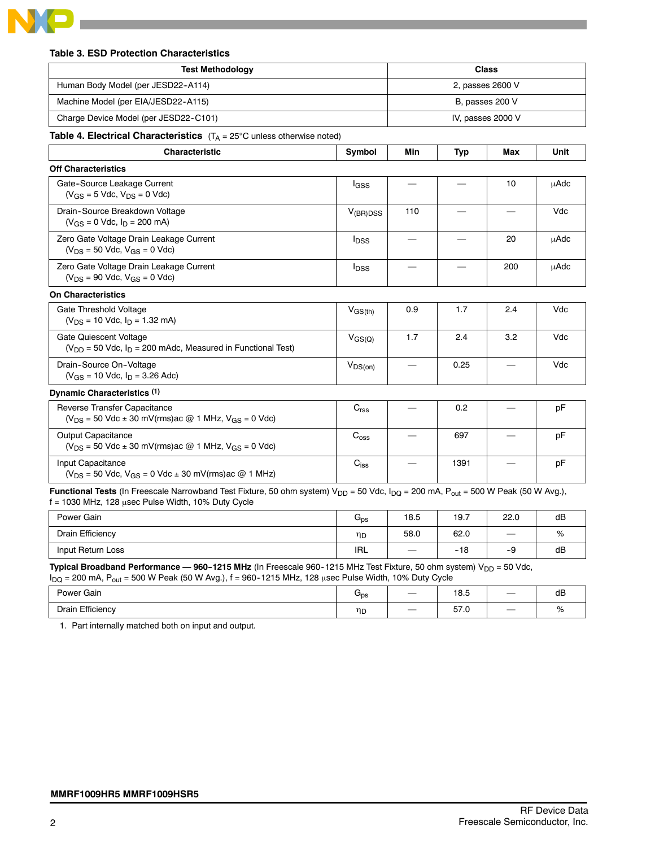

#### **Table 3. ESD Protection Characteristics**

| <b>Test Methodology</b>                                                                                                                                                                                  |                         | <b>Class</b>     |            |                   |      |
|----------------------------------------------------------------------------------------------------------------------------------------------------------------------------------------------------------|-------------------------|------------------|------------|-------------------|------|
| Human Body Model (per JESD22-A114)                                                                                                                                                                       |                         | 2, passes 2600 V |            |                   |      |
| Machine Model (per EIA/JESD22-A115)                                                                                                                                                                      |                         |                  |            | B, passes 200 V   |      |
| Charge Device Model (per JESD22-C101)                                                                                                                                                                    |                         |                  |            | IV, passes 2000 V |      |
| <b>Table 4. Electrical Characteristics</b> $(T_A = 25^{\circ}C \text{ unless otherwise noted})$                                                                                                          |                         |                  |            |                   |      |
| <b>Characteristic</b>                                                                                                                                                                                    | Symbol                  | Min              | <b>Typ</b> | Max               | Unit |
| <b>Off Characteristics</b>                                                                                                                                                                               |                         |                  |            |                   |      |
| Gate-Source Leakage Current<br>$(V_{GS} = 5$ Vdc, $V_{DS} = 0$ Vdc)                                                                                                                                      | $I_{GSS}$               |                  |            | 10                | μAdc |
| Drain-Source Breakdown Voltage<br>$(V_{GS} = 0$ Vdc, $I_D = 200$ mA)                                                                                                                                     | $V_{(BR)DSS}$           | 110              |            |                   | Vdc  |
| Zero Gate Voltage Drain Leakage Current<br>$(V_{DS} = 50$ Vdc, $V_{GS} = 0$ Vdc)                                                                                                                         | <b>l</b> <sub>DSS</sub> |                  |            | 20                | uAdc |
| Zero Gate Voltage Drain Leakage Current<br>$(V_{DS} = 90$ Vdc, $V_{GS} = 0$ Vdc)                                                                                                                         | <b>I</b> <sub>DSS</sub> |                  |            | 200               | uAdc |
| <b>On Characteristics</b>                                                                                                                                                                                |                         |                  |            |                   |      |
| Gate Threshold Voltage<br>$(V_{DS} = 10$ Vdc, $I_D = 1.32$ mA)                                                                                                                                           | $V_{GS(th)}$            | 0.9              | 1.7        | 2.4               | Vdc  |
| Gate Quiescent Voltage<br>$(V_{DD} = 50$ Vdc, $I_D = 200$ mAdc, Measured in Functional Test)                                                                                                             | $V_{GS(Q)}$             | 1.7              | 2.4        | 3.2               | Vdc  |
| Drain-Source On-Voltage<br>$(V_{GS} = 10$ Vdc, $I_D = 3.26$ Adc)                                                                                                                                         | $V_{DS(on)}$            |                  | 0.25       |                   | Vdc  |
| Dynamic Characteristics (1)                                                                                                                                                                              |                         |                  |            |                   |      |
| Reverse Transfer Capacitance<br>$(V_{DS} = 50$ Vdc $\pm$ 30 mV(rms) ac @ 1 MHz, V <sub>GS</sub> = 0 Vdc)                                                                                                 | C <sub>rss</sub>        |                  | 0.2        |                   | pF   |
| Output Capacitance<br>$(V_{DS} = 50$ Vdc $\pm$ 30 mV(rms) ac @ 1 MHz, V <sub>GS</sub> = 0 Vdc)                                                                                                           | $C_{\text{oss}}$        |                  | 697        |                   | pF   |
| Input Capacitance<br>$(V_{DS} = 50$ Vdc, $V_{GS} = 0$ Vdc $\pm$ 30 mV(rms) ac @ 1 MHz)                                                                                                                   | $C_{iss}$               |                  | 1391       |                   | pF   |
| Functional Tests (In Freescale Narrowband Test Fixture, 50 ohm system) $V_{DD}$ = 50 Vdc, $I_{DQ}$ = 200 mA, $P_{out}$ = 500 W Peak (50 W Avg.),<br>$f = 1030$ MHz, 128 usec Pulse Width, 10% Duty Cycle |                         |                  |            |                   |      |

| Power Gain        | $G_{DS}$   | 18.5              | 19.7  | 22.0              | dB |
|-------------------|------------|-------------------|-------|-------------------|----|
| Drain Efficiency  | ηp         | 58.0              | 62.0  | $\hspace{0.05cm}$ | %  |
| Input Return Loss | <b>IRL</b> | $\hspace{0.05cm}$ | $-18$ | -9                | dB |

**Typical Broadband Performance — 960-1215 MHz** (In Freescale 960-1215 MHz Test Fixture, 50 ohm system) V<sub>DD</sub> = 50 Vdc,

| $I_{DQ}$ = 200 mA, $P_{out}$ = 500 W Peak (50 W Avg.), f = 960-1215 MHz, 128 usec Pulse Width, 10% Duty Cycle |                 |  |      |  |    |  |
|---------------------------------------------------------------------------------------------------------------|-----------------|--|------|--|----|--|
| Power Gain                                                                                                    | G <sub>ps</sub> |  | 18.5 |  | dB |  |
| Drain Efficiency                                                                                              | ηD              |  | 57.0 |  | %  |  |

1. Part internally matched both on input and output.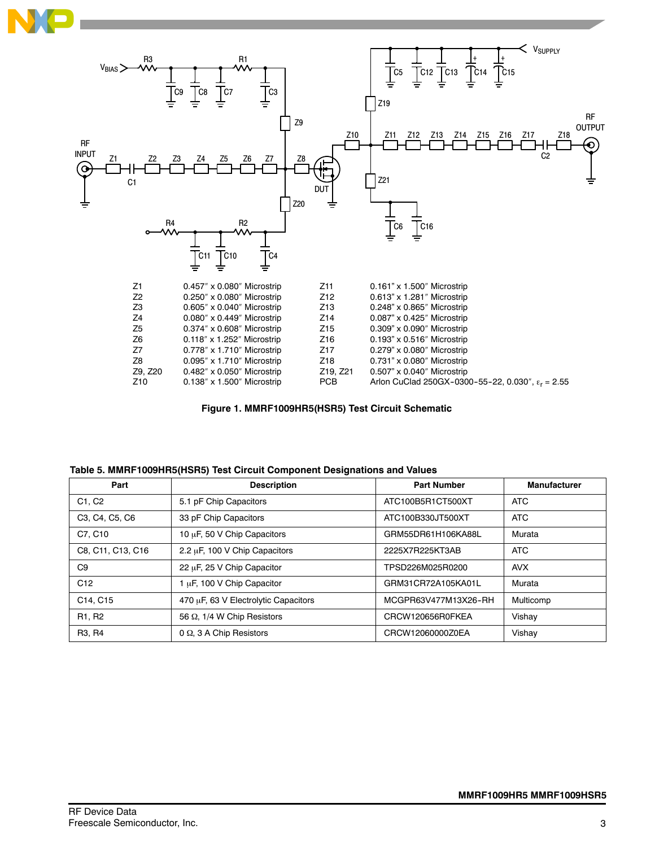



**Figure 1. MMRF1009HR5(HSR5) Test Circuit Schematic**

| Part                            | <b>Description</b>                   | <b>Part Number</b>   | <b>Manufacturer</b> |
|---------------------------------|--------------------------------------|----------------------|---------------------|
| C <sub>1</sub> . C <sub>2</sub> | 5.1 pF Chip Capacitors               | ATC100B5R1CT500XT    | <b>ATC</b>          |
| C3, C4, C5, C6                  | 33 pF Chip Capacitors                | ATC100B330JT500XT    | <b>ATC</b>          |
| C7, C10                         | 10 µF, 50 V Chip Capacitors          | GRM55DR61H106KA88L   | Murata              |
| C8, C11, C13, C16               | 2.2 µF, 100 V Chip Capacitors        | 2225X7R225KT3AB      | <b>ATC</b>          |
| C <sub>9</sub>                  | 22 µF, 25 V Chip Capacitor           | TPSD226M025R0200     | <b>AVX</b>          |
| C12                             | 1 µF, 100 V Chip Capacitor           | GRM31CR72A105KA01L   | Murata              |
| C14, C15                        | 470 µF, 63 V Electrolytic Capacitors | MCGPR63V477M13X26-RH | Multicomp           |
| R <sub>1</sub> , R <sub>2</sub> | 56 Ω, 1/4 W Chip Resistors           | CRCW120656R0FKEA     | Vishay              |
| R <sub>3</sub> , R <sub>4</sub> | 0 $\Omega$ , 3 A Chip Resistors      | CRCW12060000Z0EA     | Vishay              |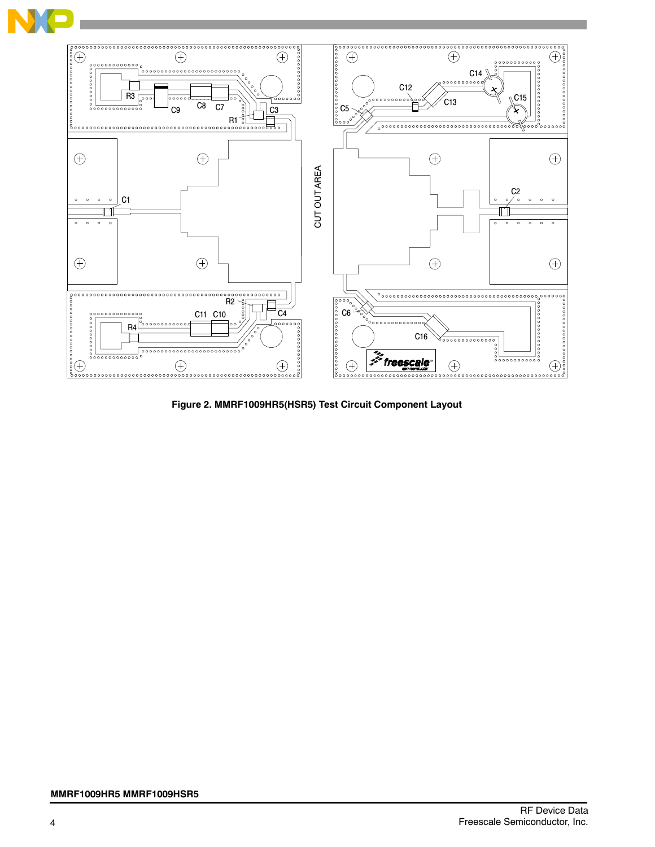

**Figure 2. MMRF1009HR5(HSR5) Test Circuit Component Layout**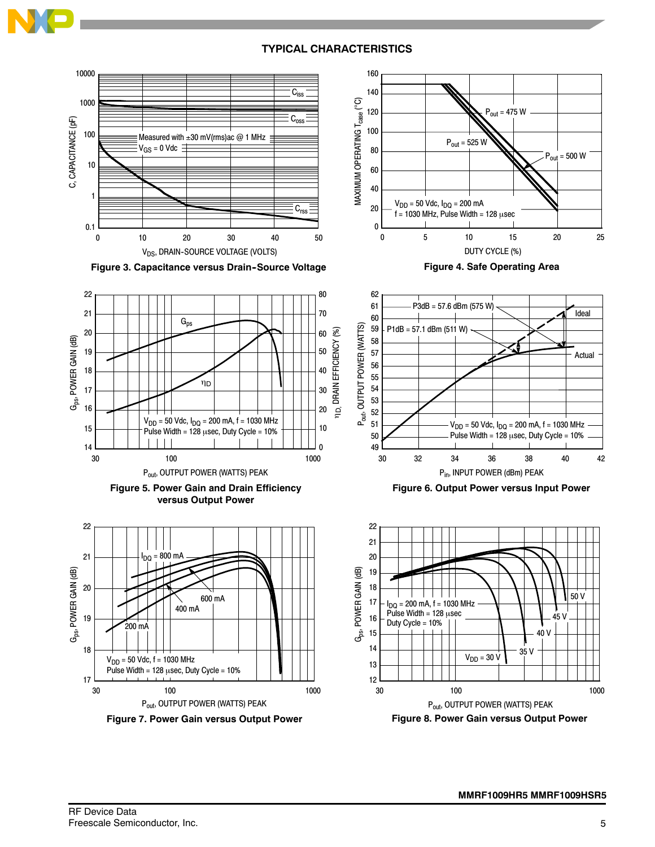

## **TYPICAL CHARACTERISTICS**





**Figure 3. Capacitance versus Drain--Source Voltage**







**Figure 7. Power Gain versus Output Power**

**Figure 4. Safe Operating Area**



**Figure 6. Output Power versus Input Power**

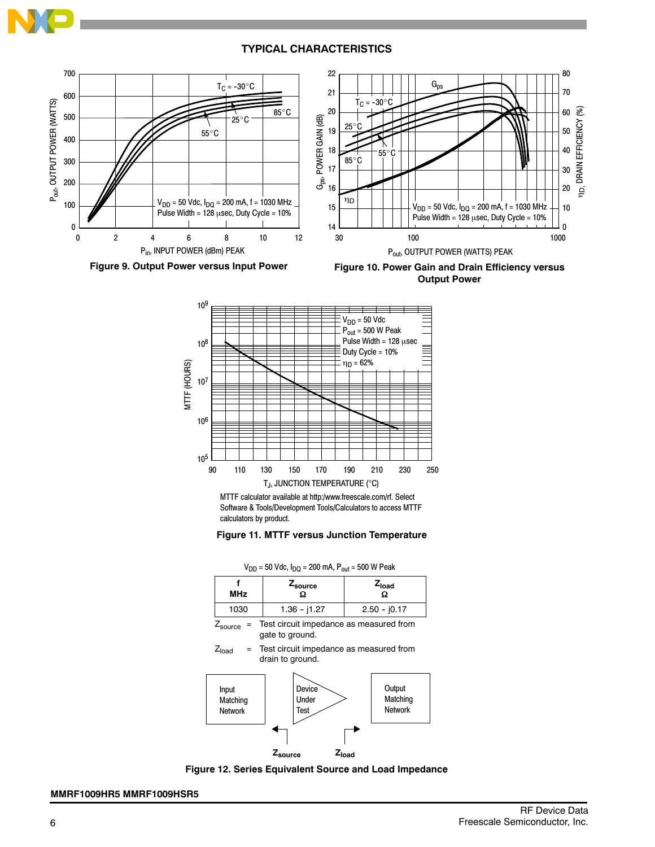### **TYPICAL CHARACTERISTICS**







MTTF calculator available at http:/www.freescale.com/rf. Select Software & Tools/Development Tools/Calculators to access MTTF calculators by product.



| $V_{DD}$ = 50 Vdc, $I_{DD}$ = 200 mA, $P_{out}$ = 500 W Peak |                |                 |  |  |  |
|--------------------------------------------------------------|----------------|-----------------|--|--|--|
| <b>MHz</b>                                                   | Zsource<br>Ω   | $Z_{load}$<br>Ω |  |  |  |
| 1030                                                         | $1.36 - 11.27$ | $2.50 - 10.17$  |  |  |  |
| Toot organitimpodance as mosquired from                      |                |                 |  |  |  |

 $Z_{\text{source}}$  = Test circuit impedance as measured from gate to ground.

 $Z<sub>load</sub>$  = Test circuit impedance as measured from drain to ground.





#### **MMRF1009HR5 MMRF1009HSR5**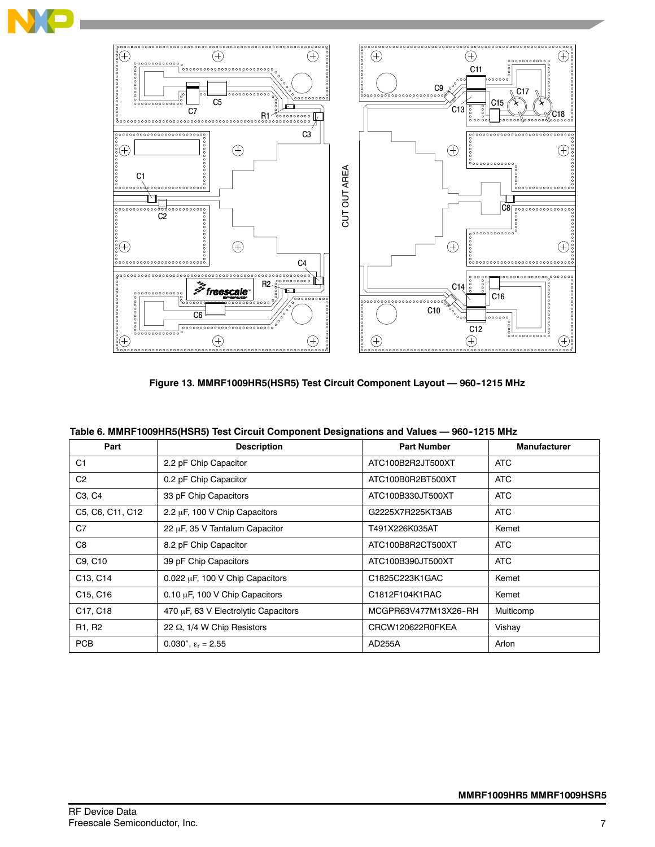

**Figure 13. MMRF1009HR5(HSR5) Test Circuit Component Layout — 960--1215 MHz**

| Part                              | <b>Description</b>                   | <b>Part Number</b>   | <b>Manufacturer</b> |
|-----------------------------------|--------------------------------------|----------------------|---------------------|
| C <sub>1</sub>                    | 2.2 pF Chip Capacitor                | ATC100B2R2JT500XT    | <b>ATC</b>          |
| C <sub>2</sub>                    | 0.2 pF Chip Capacitor                | ATC100B0R2BT500XT    | <b>ATC</b>          |
| C <sub>3</sub> , C <sub>4</sub>   | 33 pF Chip Capacitors                | ATC100B330JT500XT    | <b>ATC</b>          |
| C5, C6, C11, C12                  | 2.2 µF, 100 V Chip Capacitors        | G2225X7R225KT3AB     | <b>ATC</b>          |
| C7                                | 22 µF, 35 V Tantalum Capacitor       | T491X226K035AT       | Kemet               |
| C8                                | 8.2 pF Chip Capacitor                | ATC100B8R2CT500XT    | <b>ATC</b>          |
| C9, C10                           | 39 pF Chip Capacitors                | ATC100B390JT500XT    | ATC                 |
| C13, C14                          | 0.022 µF, 100 V Chip Capacitors      | C1825C223K1GAC       | Kemet               |
| C <sub>15</sub> , C <sub>16</sub> | 0.10 µF, 100 V Chip Capacitors       | C1812F104K1RAC       | Kemet               |
| C17, C18                          | 470 µF, 63 V Electrolytic Capacitors | MCGPR63V477M13X26-RH | Multicomp           |
| R1, R2                            | 22 $\Omega$ , 1/4 W Chip Resistors   | CRCW120622R0FKEA     | Vishay              |
| <b>PCB</b>                        | 0.030", $\epsilon_r = 2.55$          | AD255A               | Arlon               |

|  | Table 6. MMRF1009HR5(HSR5) Test Circuit Component Designations and Values — 960-1215 MHz |
|--|------------------------------------------------------------------------------------------|
|  |                                                                                          |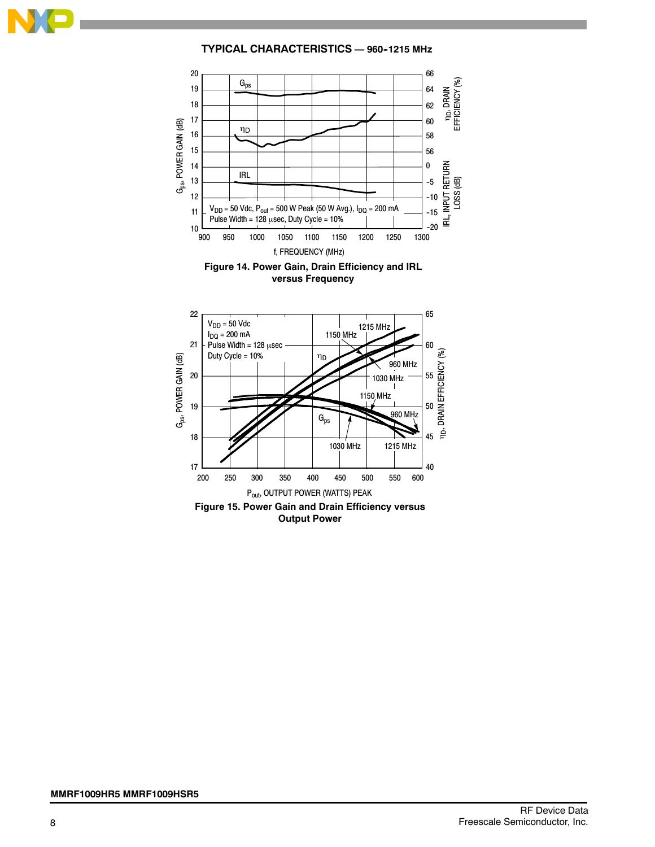

**TYPICAL CHARACTERISTICS — 960--1215 MHz**



**versus Frequency**

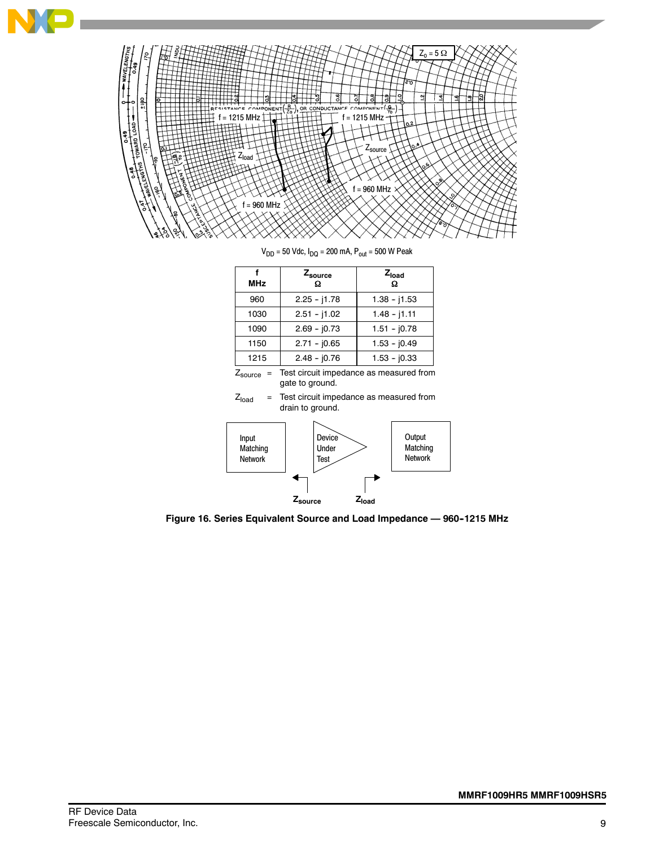

 $V_{DD}$  = 50 Vdc,  $I_{DQ}$  = 200 mA,  $P_{out}$  = 500 W Peak

| <b>MHz</b> | $Z_{\rm source}$<br>Ω | $Z_{load}$<br>Ω |
|------------|-----------------------|-----------------|
| 960        | $2.25 - j1.78$        | $1.38 - j1.53$  |
| 1030       | $2.51 - j1.02$        | $1.48 - j1.11$  |
| 1090       | $2.69 - j0.73$        | $1.51 - j0.78$  |
| 1150       | $2.71 - 0.65$         | $1.53 - j0.49$  |
| 1215       | $2.48 - j0.76$        | $1.53 - 10.33$  |

 $\mathsf{Z}_\mathsf{source}$  = Test circuit impedance as measured from gate to ground.





**Figure 16. Series Equivalent Source and Load Impedance — 960--1215 MHz**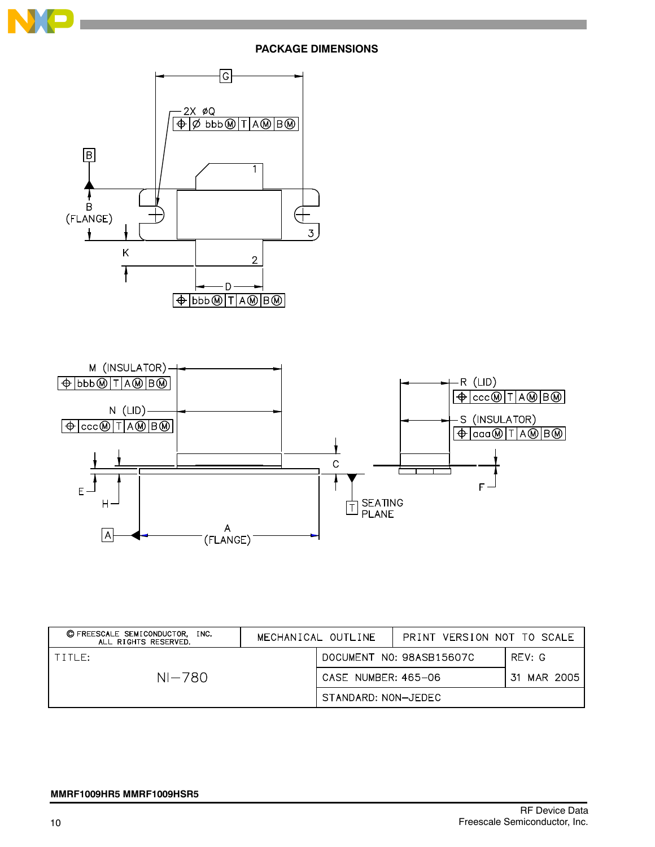

# **PACKAGE DIMENSIONS**





| © FREESCALE SEMICONDUCTOR, INC.<br>ALL RIGHTS RESERVED. | MECHANICAL OUTLINE  | PRINT VERSION NOT TO SCALE |        |
|---------------------------------------------------------|---------------------|----------------------------|--------|
| TITLE:                                                  |                     | DOCUMENT NO: 98ASB15607C   | REV: G |
| NI-780                                                  | CASE NUMBER: 465-06 | 31 MAR 2005 l              |        |
|                                                         | STANDARD: NON-JEDEC |                            |        |

#### **MMRF1009HR5 MMRF1009HSR5**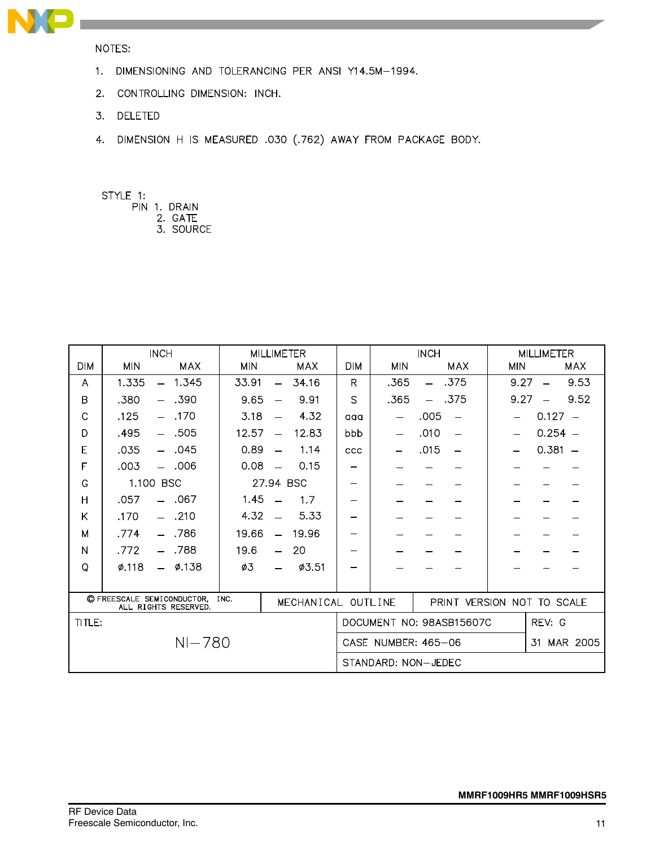

NOTES:

- 1. DIMENSIONING AND TOLERANCING PER ANSI Y14.5M-1994.
- 2. CONTROLLING DIMENSION: INCH.
- 3. DELETED
- 4. DIMENSION H IS MEASURED .030 (.762) AWAY FROM PACKAGE BODY.

STYLE 1:

- PIN 1. DRAIN
	- 2. GATE 3. SOURCE

|                                                                                  | <b>INCH</b><br><b>MILLIMETER</b>  |                            |                            |                          | <b>INCH</b> |                     | <b>MILLIMETER</b>        |                          |                          |            |                          |            |
|----------------------------------------------------------------------------------|-----------------------------------|----------------------------|----------------------------|--------------------------|-------------|---------------------|--------------------------|--------------------------|--------------------------|------------|--------------------------|------------|
| <b>DIM</b>                                                                       | <b>MIN</b>                        | MAX                        | <b>MIN</b>                 |                          | <b>MAX</b>  | <b>DIM</b>          | <b>MIN</b>               |                          | <b>MAX</b>               | <b>MIN</b> |                          | <b>MAX</b> |
| A                                                                                | 1.335<br>$\overline{\phantom{0}}$ | 1.345                      | 33.91                      | $\equiv$                 | 34.16       | R                   | .365                     | $\overline{\phantom{m}}$ | .375                     | 9.27       | $\overline{\phantom{0}}$ | 9.53       |
| B                                                                                | .380<br>- .390                    |                            | 9.65                       |                          | 9.91        | $\mathcal{S}$       | .365                     |                          | .375                     | 9.27       |                          | 9.52       |
| C                                                                                | $-170$<br>.125                    |                            | 3.18                       |                          | 4.32        | aaa                 | $\overline{\phantom{0}}$ | .005                     |                          |            | $0.127 -$                |            |
| D                                                                                | $- .505$<br>.495                  |                            | 12.57                      | $\overline{\phantom{a}}$ | 12.83       | bbb                 |                          | .010                     | $\overline{\phantom{0}}$ |            | $0.254 -$                |            |
| E                                                                                | $-.045$<br>.035                   |                            | 0.89                       | $\equiv$                 | 1.14        | ccc                 |                          | .015                     | $\overline{\phantom{0}}$ |            | $0.381 -$                |            |
| F                                                                                | $-.006$<br>.003                   |                            | 0.08                       | $\overline{\phantom{a}}$ | 0.15        | —                   |                          |                          |                          |            |                          |            |
| G                                                                                | 1.100 BSC                         |                            |                            |                          | 27.94 BSC   | —                   |                          |                          |                          |            |                          |            |
| Η                                                                                | $-.067$<br>.057                   |                            | 1.45                       |                          | 1.7         | -                   |                          |                          |                          |            |                          |            |
| Κ                                                                                | $- .210$<br>.170                  |                            | 4.32                       |                          | 5.33        |                     |                          |                          |                          |            |                          |            |
| M                                                                                | .774<br>$\equiv$                  | .786                       | 19.66                      | $\equiv$                 | 19.96       | —                   |                          |                          |                          |            |                          |            |
| N                                                                                | .772                              | .788                       | 19.6                       |                          | 20          | —                   |                          |                          |                          |            |                          |            |
| Q                                                                                | 0.118<br>$\overline{\phantom{a}}$ | <b>Ø.138</b>               | ø3                         |                          | Ø3.51       | —                   |                          |                          |                          |            |                          |            |
|                                                                                  |                                   |                            |                            |                          |             |                     |                          |                          |                          |            |                          |            |
| C FREESCALE SEMICONDUCTOR.<br>INC.<br>MECHANICAL OUTLINE<br>ALL RIGHTS RESERVED. |                                   | PRINT VERSION NOT TO SCALE |                            |                          |             |                     |                          |                          |                          |            |                          |            |
| TITLE:                                                                           |                                   |                            |                            |                          |             |                     |                          |                          | DOCUMENT NO: 98ASB15607C |            | REV: G                   |            |
| $NI - 780$                                                                       |                                   |                            | CASE NUMBER: 465-06<br>.31 |                          |             | MAR 2005            |                          |                          |                          |            |                          |            |
|                                                                                  |                                   |                            |                            |                          |             | STANDARD: NON-JEDEC |                          |                          |                          |            |                          |            |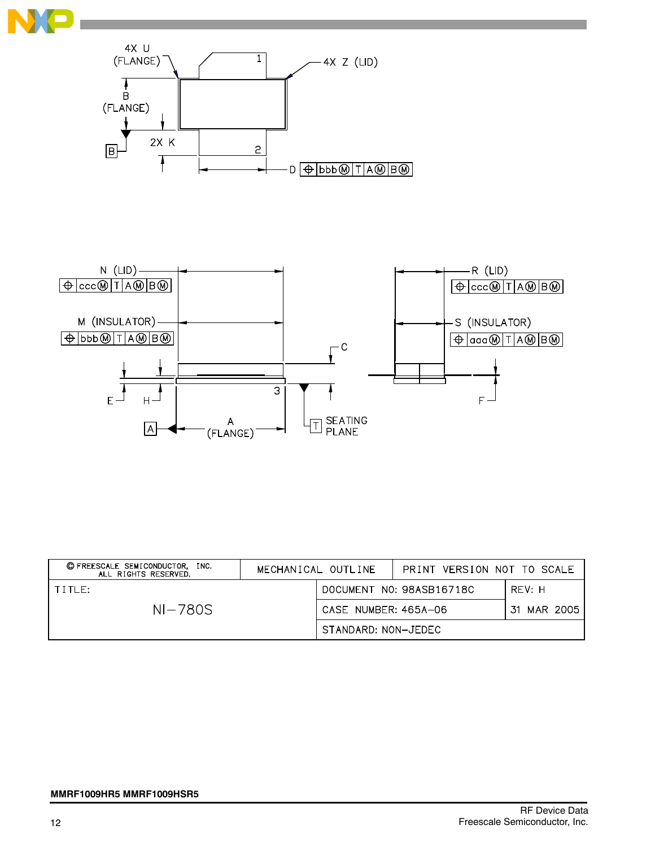





| © FREESCALE SEMICONDUCTOR, INC.<br>ALL RIGHTS RESERVED. | MECHANICAL OUTLINE | PRINT VERSION NOT TO SCALE |                          |             |
|---------------------------------------------------------|--------------------|----------------------------|--------------------------|-------------|
| TITLE:                                                  |                    |                            | DOCUMENT NO: 98ASB16718C | RFV: H      |
| $NI-780S$                                               |                    | CASE NUMBER: 465A-06       |                          | 31 MAR 2005 |
|                                                         |                    | STANDARD: NON-JEDEC        |                          |             |

#### **MMRF1009HR5 MMRF1009HSR5**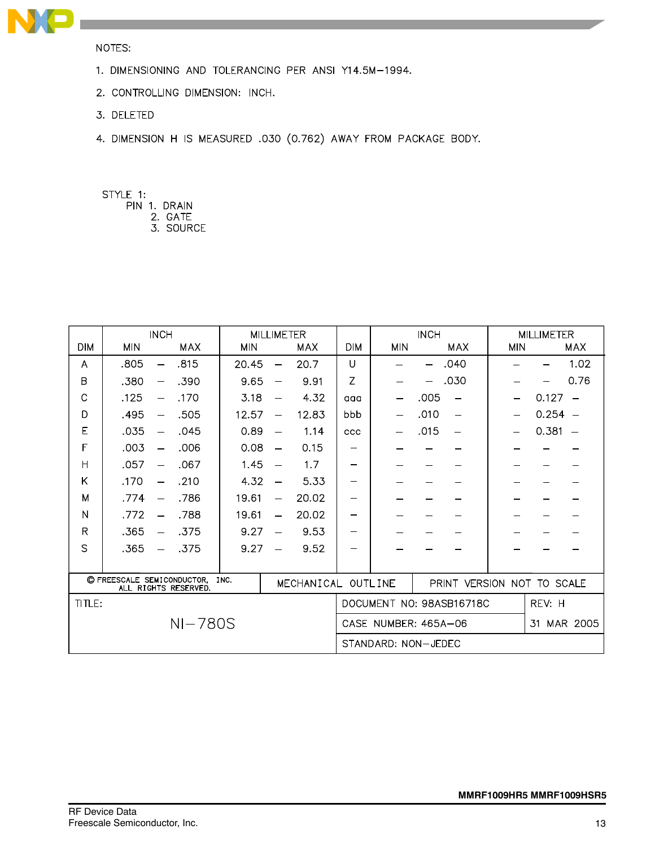

NOTES:

- 1. DIMENSIONING AND TOLERANCING PER ANSI Y14.5M-1994.
- 2. CONTROLLING DIMENSION: INCH.
- 3. DELETED
- 4. DIMENSION H IS MEASURED .030 (0.762) AWAY FROM PACKAGE BODY.
- STYLE 1:
	- PIN 1. DRAIN
		- 2. GATE<br>3. SOURCE

|              |                                                                                  | <b>INCH</b><br><b>MILLIMETER</b> |                      |                          | <b>INCH</b>                |             |            | <b>MILLIMETER</b> |                          |            |           |                          |
|--------------|----------------------------------------------------------------------------------|----------------------------------|----------------------|--------------------------|----------------------------|-------------|------------|-------------------|--------------------------|------------|-----------|--------------------------|
| <b>DIM</b>   | <b>MIN</b>                                                                       | <b>MAX</b>                       | <b>MIN</b>           |                          | <b>MAX</b>                 | <b>DIM</b>  | <b>MIN</b> |                   | <b>MAX</b>               | <b>MIN</b> |           | <b>MAX</b>               |
| A            | .805                                                                             | .815<br>$\overline{\phantom{0}}$ | 20.45                | $\overline{\phantom{0}}$ | 20.7                       | $\cup$      |            |                   | .040                     |            |           | 1.02                     |
| B            | .380                                                                             | .390<br>—                        | 9.65                 | —                        | 9.91                       | Z           |            |                   | .030                     |            |           | 0.76                     |
| C            | .125                                                                             | .170                             | 3.18                 |                          | 4.32                       | aaa         |            | .005              | $\overline{\phantom{0}}$ |            | 0.127     |                          |
| D            | .495                                                                             | .505<br>$\overline{\phantom{0}}$ | 12.57                | $\overline{\phantom{0}}$ | 12.83                      | bbb         |            | .010              | $\overline{\phantom{0}}$ |            | $0.254 -$ |                          |
| E            | .035                                                                             | .045<br>$\overline{\phantom{m}}$ | 0.89                 | $\overline{\phantom{0}}$ | 1.14                       | ccc         |            | .015              | $\overline{\phantom{m}}$ |            | 0.381     | $\overline{\phantom{m}}$ |
| F            | .003                                                                             | .006<br>$\overline{\phantom{0}}$ | 0.08                 | $\overline{\phantom{0}}$ | 0.15                       |             |            |                   |                          |            |           |                          |
| Н            | .057                                                                             | .067<br>$\overline{\phantom{0}}$ | 1.45                 | $\overline{\phantom{0}}$ | 1.7                        |             |            |                   |                          |            |           |                          |
| Κ            | .170                                                                             | .210<br>$\overline{\phantom{0}}$ | 4.32                 |                          | 5.33                       |             |            |                   |                          |            |           |                          |
| M            | .774                                                                             | .786<br>$\qquad \qquad -$        | 19.61                | —                        | 20.02                      |             |            |                   |                          |            |           |                          |
| N            | .772                                                                             | .788<br>$\equiv$                 | 19.61                | $\equiv$                 | 20.02                      |             |            |                   |                          |            |           |                          |
| $\mathsf{R}$ | .365                                                                             | .375                             | 9.27                 |                          | 9.53                       | —           |            |                   |                          |            |           |                          |
| S            | .365                                                                             | .375                             | 9.27                 |                          | 9.52                       |             |            |                   |                          |            |           |                          |
|              |                                                                                  |                                  |                      |                          |                            |             |            |                   |                          |            |           |                          |
|              | C FREESCALE SEMICONDUCTOR.<br>INC.<br>MECHANICAL OUTLINE<br>ALL RIGHTS RESERVED. |                                  |                      |                          | PRINT VERSION NOT TO SCALE |             |            |                   |                          |            |           |                          |
| TITLE:       |                                                                                  |                                  |                      |                          |                            |             |            |                   | DOCUMENT NO: 98ASB16718C |            | REV: H    |                          |
| $NI-780S$    |                                                                                  |                                  | CASE NUMBER: 465A-06 |                          |                            | 31 MAR 2005 |            |                   |                          |            |           |                          |
|              |                                                                                  |                                  |                      | STANDARD: NON-JEDEC      |                            |             |            |                   |                          |            |           |                          |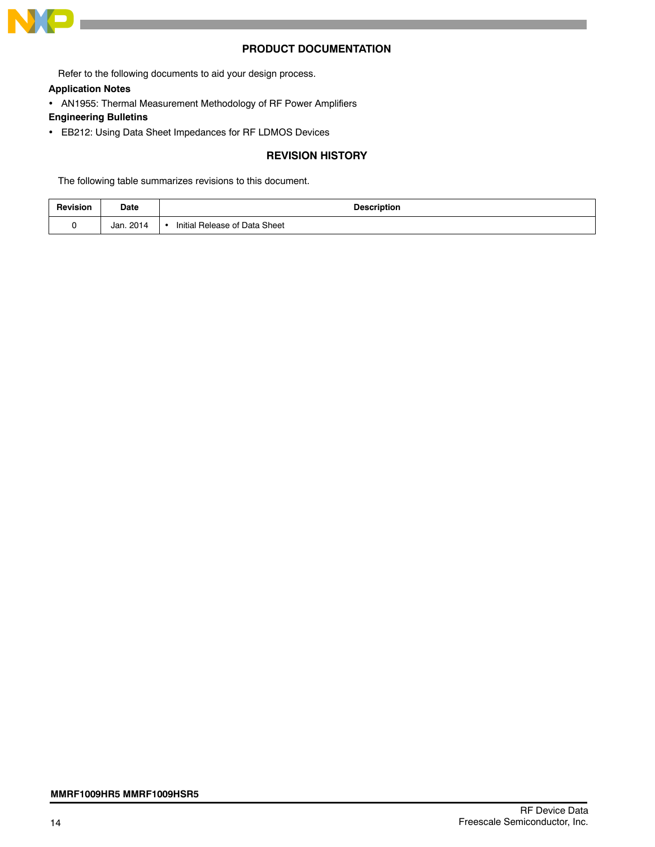

## **PRODUCT DOCUMENTATION**

Refer to the following documents to aid your design process.

#### **Application Notes**

AN1955: Thermal Measurement Methodology of RF Power Amplifiers

# **Engineering Bulletins**

EB212: Using Data Sheet Impedances for RF LDMOS Devices

# **REVISION HISTORY**

The following table summarizes revisions to this document.

| Revision | Date      | <b>Description</b>            |
|----------|-----------|-------------------------------|
|          | Jan. 2014 | Initial Release of Data Sheet |